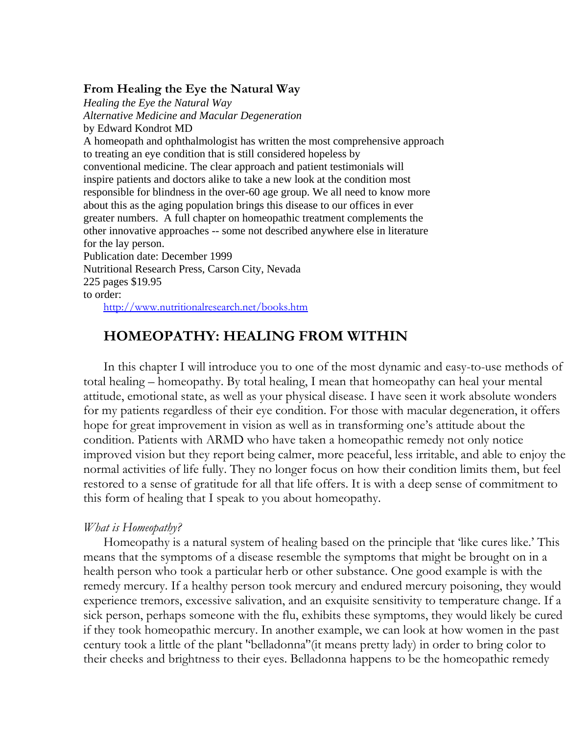# **From Healing the Eye the Natural Way**

*Healing the Eye the Natural Way Alternative Medicine and Macular Degeneration* by Edward Kondrot MD A homeopath and ophthalmologist has written the most comprehensive approach to treating an eye condition that is still considered hopeless by conventional medicine. The clear approach and patient testimonials will inspire patients and doctors alike to take a new look at the condition most responsible for blindness in the over-60 age group. We all need to know more about this as the aging population brings this disease to our offices in ever greater numbers. A full chapter on homeopathic treatment complements the other innovative approaches -- some not described anywhere else in literature for the lay person. Publication date: December 1999 Nutritional Research Press, Carson City, Nevada 225 pages \$19.95 to order: http://www.nutritionalresearch.net/books.htm

# **HOMEOPATHY: HEALING FROM WITHIN**

In this chapter I will introduce you to one of the most dynamic and easy-to-use methods of total healing – homeopathy. By total healing, I mean that homeopathy can heal your mental attitude, emotional state, as well as your physical disease. I have seen it work absolute wonders for my patients regardless of their eye condition. For those with macular degeneration, it offers hope for great improvement in vision as well as in transforming one's attitude about the condition. Patients with ARMD who have taken a homeopathic remedy not only notice improved vision but they report being calmer, more peaceful, less irritable, and able to enjoy the normal activities of life fully. They no longer focus on how their condition limits them, but feel restored to a sense of gratitude for all that life offers. It is with a deep sense of commitment to this form of healing that I speak to you about homeopathy.

# *What is Homeopathy?*

Homeopathy is a natural system of healing based on the principle that 'like cures like.' This means that the symptoms of a disease resemble the symptoms that might be brought on in a health person who took a particular herb or other substance. One good example is with the remedy mercury. If a healthy person took mercury and endured mercury poisoning, they would experience tremors, excessive salivation, and an exquisite sensitivity to temperature change. If a sick person, perhaps someone with the flu, exhibits these symptoms, they would likely be cured if they took homeopathic mercury. In another example, we can look at how women in the past century took a little of the plant ''belladonna''(it means pretty lady) in order to bring color to their cheeks and brightness to their eyes. Belladonna happens to be the homeopathic remedy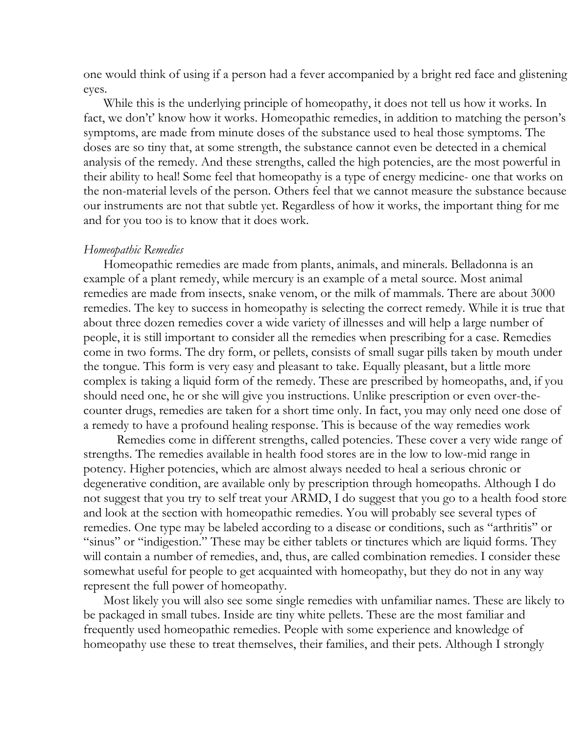one would think of using if a person had a fever accompanied by a bright red face and glistening eyes.

While this is the underlying principle of homeopathy, it does not tell us how it works. In fact, we don't' know how it works. Homeopathic remedies, in addition to matching the person's symptoms, are made from minute doses of the substance used to heal those symptoms. The doses are so tiny that, at some strength, the substance cannot even be detected in a chemical analysis of the remedy. And these strengths, called the high potencies, are the most powerful in their ability to heal! Some feel that homeopathy is a type of energy medicine- one that works on the non-material levels of the person. Others feel that we cannot measure the substance because our instruments are not that subtle yet. Regardless of how it works, the important thing for me and for you too is to know that it does work.

#### *Homeopathic Remedies*

Homeopathic remedies are made from plants, animals, and minerals. Belladonna is an example of a plant remedy, while mercury is an example of a metal source. Most animal remedies are made from insects, snake venom, or the milk of mammals. There are about 3000 remedies. The key to success in homeopathy is selecting the correct remedy. While it is true that about three dozen remedies cover a wide variety of illnesses and will help a large number of people, it is still important to consider all the remedies when prescribing for a case. Remedies come in two forms. The dry form, or pellets, consists of small sugar pills taken by mouth under the tongue. This form is very easy and pleasant to take. Equally pleasant, but a little more complex is taking a liquid form of the remedy. These are prescribed by homeopaths, and, if you should need one, he or she will give you instructions. Unlike prescription or even over-thecounter drugs, remedies are taken for a short time only. In fact, you may only need one dose of a remedy to have a profound healing response. This is because of the way remedies work

 Remedies come in different strengths, called potencies. These cover a very wide range of strengths. The remedies available in health food stores are in the low to low-mid range in potency. Higher potencies, which are almost always needed to heal a serious chronic or degenerative condition, are available only by prescription through homeopaths. Although I do not suggest that you try to self treat your ARMD, I do suggest that you go to a health food store and look at the section with homeopathic remedies. You will probably see several types of remedies. One type may be labeled according to a disease or conditions, such as "arthritis" or "sinus" or "indigestion." These may be either tablets or tinctures which are liquid forms. They will contain a number of remedies, and, thus, are called combination remedies. I consider these somewhat useful for people to get acquainted with homeopathy, but they do not in any way represent the full power of homeopathy.

Most likely you will also see some single remedies with unfamiliar names. These are likely to be packaged in small tubes. Inside are tiny white pellets. These are the most familiar and frequently used homeopathic remedies. People with some experience and knowledge of homeopathy use these to treat themselves, their families, and their pets. Although I strongly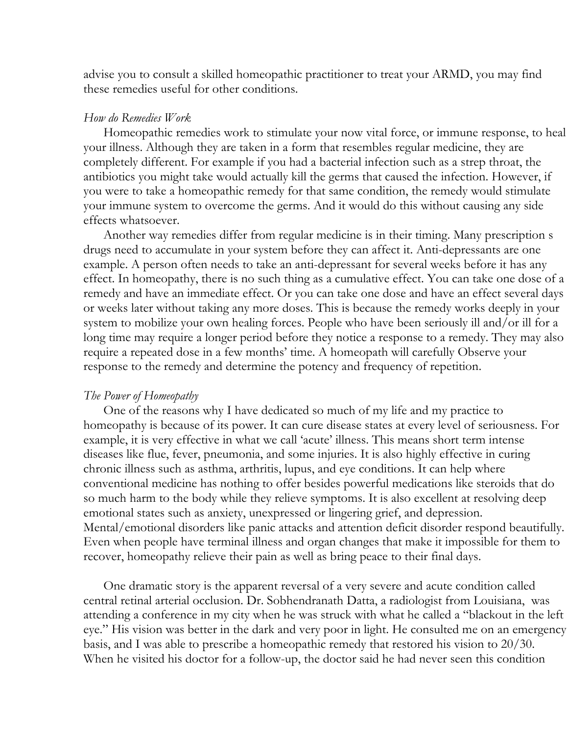advise you to consult a skilled homeopathic practitioner to treat your ARMD, you may find these remedies useful for other conditions.

#### *How do Remedies Work*

Homeopathic remedies work to stimulate your now vital force, or immune response, to heal your illness. Although they are taken in a form that resembles regular medicine, they are completely different. For example if you had a bacterial infection such as a strep throat, the antibiotics you might take would actually kill the germs that caused the infection. However, if you were to take a homeopathic remedy for that same condition, the remedy would stimulate your immune system to overcome the germs. And it would do this without causing any side effects whatsoever.

Another way remedies differ from regular medicine is in their timing. Many prescription s drugs need to accumulate in your system before they can affect it. Anti-depressants are one example. A person often needs to take an anti-depressant for several weeks before it has any effect. In homeopathy, there is no such thing as a cumulative effect. You can take one dose of a remedy and have an immediate effect. Or you can take one dose and have an effect several days or weeks later without taking any more doses. This is because the remedy works deeply in your system to mobilize your own healing forces. People who have been seriously ill and/or ill for a long time may require a longer period before they notice a response to a remedy. They may also require a repeated dose in a few months' time. A homeopath will carefully Observe your response to the remedy and determine the potency and frequency of repetition.

#### *The Power of Homeopathy*

One of the reasons why I have dedicated so much of my life and my practice to homeopathy is because of its power. It can cure disease states at every level of seriousness. For example, it is very effective in what we call 'acute' illness. This means short term intense diseases like flue, fever, pneumonia, and some injuries. It is also highly effective in curing chronic illness such as asthma, arthritis, lupus, and eye conditions. It can help where conventional medicine has nothing to offer besides powerful medications like steroids that do so much harm to the body while they relieve symptoms. It is also excellent at resolving deep emotional states such as anxiety, unexpressed or lingering grief, and depression. Mental/emotional disorders like panic attacks and attention deficit disorder respond beautifully. Even when people have terminal illness and organ changes that make it impossible for them to recover, homeopathy relieve their pain as well as bring peace to their final days.

One dramatic story is the apparent reversal of a very severe and acute condition called central retinal arterial occlusion. Dr. Sobhendranath Datta, a radiologist from Louisiana, was attending a conference in my city when he was struck with what he called a "blackout in the left eye." His vision was better in the dark and very poor in light. He consulted me on an emergency basis, and I was able to prescribe a homeopathic remedy that restored his vision to 20/30. When he visited his doctor for a follow-up, the doctor said he had never seen this condition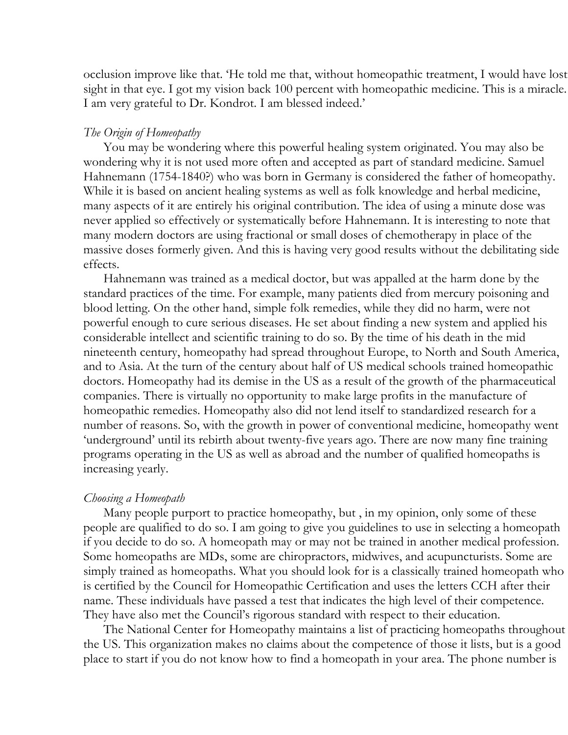occlusion improve like that. 'He told me that, without homeopathic treatment, I would have lost sight in that eye. I got my vision back 100 percent with homeopathic medicine. This is a miracle. I am very grateful to Dr. Kondrot. I am blessed indeed.'

#### *The Origin of Homeopathy*

You may be wondering where this powerful healing system originated. You may also be wondering why it is not used more often and accepted as part of standard medicine. Samuel Hahnemann (1754-1840?) who was born in Germany is considered the father of homeopathy. While it is based on ancient healing systems as well as folk knowledge and herbal medicine, many aspects of it are entirely his original contribution. The idea of using a minute dose was never applied so effectively or systematically before Hahnemann. It is interesting to note that many modern doctors are using fractional or small doses of chemotherapy in place of the massive doses formerly given. And this is having very good results without the debilitating side effects.

Hahnemann was trained as a medical doctor, but was appalled at the harm done by the standard practices of the time. For example, many patients died from mercury poisoning and blood letting. On the other hand, simple folk remedies, while they did no harm, were not powerful enough to cure serious diseases. He set about finding a new system and applied his considerable intellect and scientific training to do so. By the time of his death in the mid nineteenth century, homeopathy had spread throughout Europe, to North and South America, and to Asia. At the turn of the century about half of US medical schools trained homeopathic doctors. Homeopathy had its demise in the US as a result of the growth of the pharmaceutical companies. There is virtually no opportunity to make large profits in the manufacture of homeopathic remedies. Homeopathy also did not lend itself to standardized research for a number of reasons. So, with the growth in power of conventional medicine, homeopathy went 'underground' until its rebirth about twenty-five years ago. There are now many fine training programs operating in the US as well as abroad and the number of qualified homeopaths is increasing yearly.

# *Choosing a Homeopath*

Many people purport to practice homeopathy, but , in my opinion, only some of these people are qualified to do so. I am going to give you guidelines to use in selecting a homeopath if you decide to do so. A homeopath may or may not be trained in another medical profession. Some homeopaths are MDs, some are chiropractors, midwives, and acupuncturists. Some are simply trained as homeopaths. What you should look for is a classically trained homeopath who is certified by the Council for Homeopathic Certification and uses the letters CCH after their name. These individuals have passed a test that indicates the high level of their competence. They have also met the Council's rigorous standard with respect to their education.

The National Center for Homeopathy maintains a list of practicing homeopaths throughout the US. This organization makes no claims about the competence of those it lists, but is a good place to start if you do not know how to find a homeopath in your area. The phone number is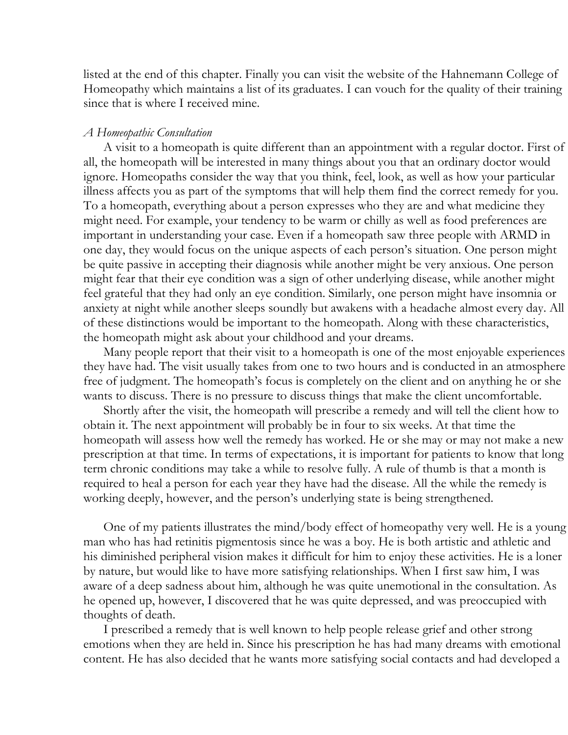listed at the end of this chapter. Finally you can visit the website of the Hahnemann College of Homeopathy which maintains a list of its graduates. I can vouch for the quality of their training since that is where I received mine.

### *A Homeopathic Consultation*

A visit to a homeopath is quite different than an appointment with a regular doctor. First of all, the homeopath will be interested in many things about you that an ordinary doctor would ignore. Homeopaths consider the way that you think, feel, look, as well as how your particular illness affects you as part of the symptoms that will help them find the correct remedy for you. To a homeopath, everything about a person expresses who they are and what medicine they might need. For example, your tendency to be warm or chilly as well as food preferences are important in understanding your case. Even if a homeopath saw three people with ARMD in one day, they would focus on the unique aspects of each person's situation. One person might be quite passive in accepting their diagnosis while another might be very anxious. One person might fear that their eye condition was a sign of other underlying disease, while another might feel grateful that they had only an eye condition. Similarly, one person might have insomnia or anxiety at night while another sleeps soundly but awakens with a headache almost every day. All of these distinctions would be important to the homeopath. Along with these characteristics, the homeopath might ask about your childhood and your dreams.

Many people report that their visit to a homeopath is one of the most enjoyable experiences they have had. The visit usually takes from one to two hours and is conducted in an atmosphere free of judgment. The homeopath's focus is completely on the client and on anything he or she wants to discuss. There is no pressure to discuss things that make the client uncomfortable.

Shortly after the visit, the homeopath will prescribe a remedy and will tell the client how to obtain it. The next appointment will probably be in four to six weeks. At that time the homeopath will assess how well the remedy has worked. He or she may or may not make a new prescription at that time. In terms of expectations, it is important for patients to know that long term chronic conditions may take a while to resolve fully. A rule of thumb is that a month is required to heal a person for each year they have had the disease. All the while the remedy is working deeply, however, and the person's underlying state is being strengthened.

One of my patients illustrates the mind/body effect of homeopathy very well. He is a young man who has had retinitis pigmentosis since he was a boy. He is both artistic and athletic and his diminished peripheral vision makes it difficult for him to enjoy these activities. He is a loner by nature, but would like to have more satisfying relationships. When I first saw him, I was aware of a deep sadness about him, although he was quite unemotional in the consultation. As he opened up, however, I discovered that he was quite depressed, and was preoccupied with thoughts of death.

I prescribed a remedy that is well known to help people release grief and other strong emotions when they are held in. Since his prescription he has had many dreams with emotional content. He has also decided that he wants more satisfying social contacts and had developed a